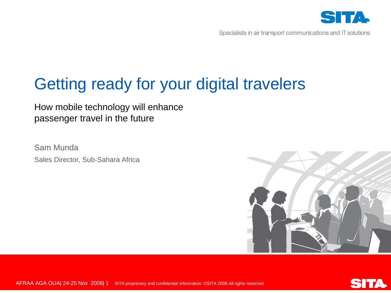

Specialists in air transport communications and IT solutions

# Getting ready for your digital travelers

How mobile technology will enhance passenger travel in the future

Sam Munda Sales Director, Sub-Sahara Africa





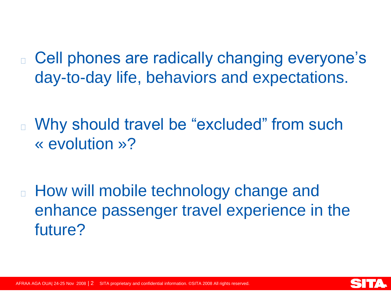- □ Cell phones are radically changing everyone's day-to-day life, behaviors and expectations.
- Why should travel be "excluded" from such  $\Box$ « evolution »?
- How will mobile technology change and enhance passenger travel experience in the future?

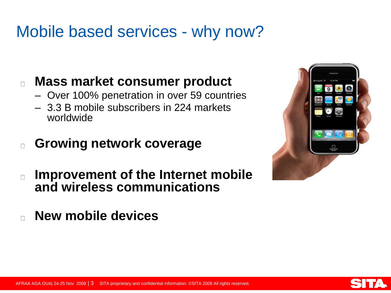# Mobile based services - why now?

#### **Mass market consumer product**  $\Box$

- Over 100% penetration in over 59 countries
- 3.3 B mobile subscribers in 224 markets worldwide

#### **Growing network coverage**  $\Box$

- **Improvement of the Internet mobile**   $\Box$ **and wireless communications**
- **New mobile devices**

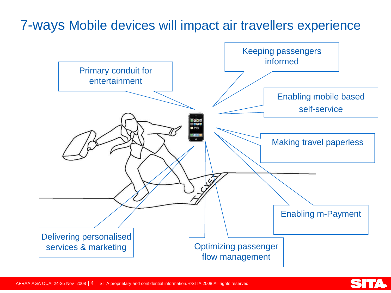#### 7-ways Mobile devices will impact air travellers experience



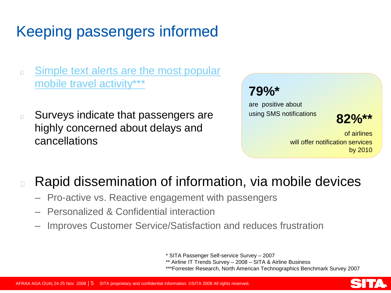# Keeping passengers informed

- Simple text alerts are the most popular  $\Box$ [mobile travel activity\\*\\*\\*](#page-8-0)
- Surveys indicate that passengers are  $\Box$ highly concerned about delays and cancellations

**82%\*\***  of airlines **79%\*** are positive about using SMS notifications

will offer notification services by 2010

#### Rapid dissemination of information, via mobile devices  $\Box$

- Pro-active vs. Reactive engagement with passengers
- Personalized & Confidential interaction
- Improves Customer Service/Satisfaction and reduces frustration

\* SITA Passenger Self-service Survey – 2007

\*\* Airline IT Trends Survey – 2008 – SITA & Airline Business

\*\*\*Forrester Research, North American Technographics Benchmark Survey 2007

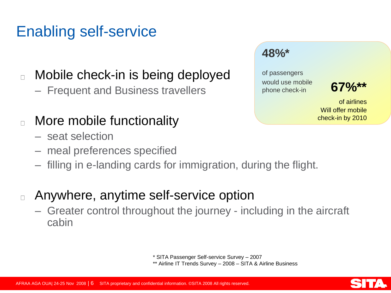### Enabling self-service

- Mobile check-in is being deployed  $\Box$ 
	- Frequent and Business travellers

#### More mobile functionality  $\Box$

- seat selection
- meal preferences specified
- filling in e-landing cards for immigration, during the flight.

#### Anywhere, anytime self-service option  $\Box$

– Greater control throughout the journey - including in the aircraft cabin

\* SITA Passenger Self-service Survey – 2007

\*\* Airline IT Trends Survey – 2008 – SITA & Airline Business



of passengers would use mobile phone check-in

**67%\*\*** 

of airlines Will offer mobile check-in by 2010



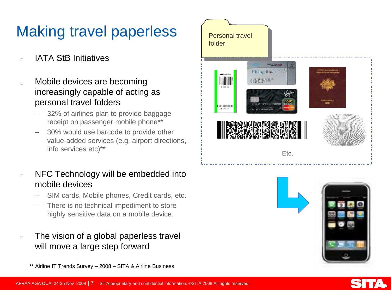# Making travel paperless

- IATA StB Initiatives  $\Box$
- Mobile devices are becoming  $\Box$ increasingly capable of acting as personal travel folders
	- 32% of airlines plan to provide baggage receipt on passenger mobile phone\*\*
	- 30% would use barcode to provide other value-added services (e.g. airport directions, info services etc)\*\*
- NFC Technology will be embedded into  $\Box$ mobile devices
	- SIM cards, Mobile phones, Credit cards, etc.
	- There is no technical impediment to store highly sensitive data on a mobile device.
- The vision of a global paperless travel  $\Box$ will move a large step forward

\*\* Airline IT Trends Survey – 2008 – SITA & Airline Business

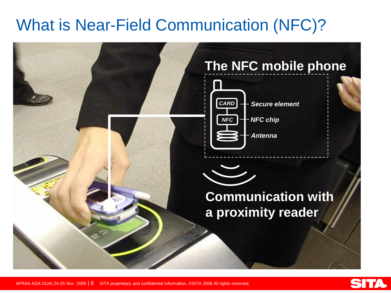# What is Near-Field Communication (NFC)?





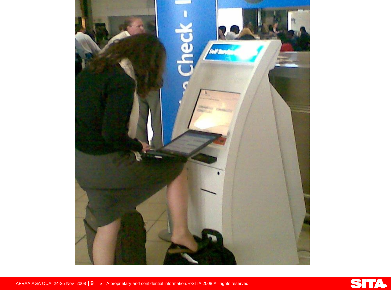<span id="page-8-0"></span>

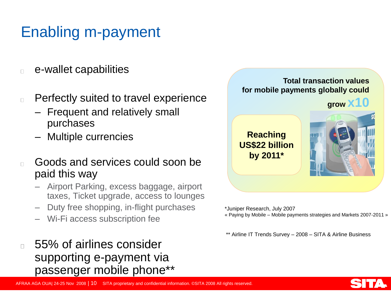### Enabling m-payment

- e-wallet capabilities  $\Box$
- Perfectly suited to travel experience  $\Box$ 
	- Frequent and relatively small purchases
	- Multiple currencies
- Goods and services could soon be paid this way
	- Airport Parking, excess baggage, airport taxes, Ticket upgrade, access to lounges
	- Duty free shopping, in-flight purchases
	- Wi-Fi access subscription fee
- 55% of airlines consider  $\Box$ supporting e-payment via passenger mobile phone\*\*



\*Juniper Research, July 2007 « Paying by Mobile – Mobile payments strategies and Markets 2007-2011 »

\*\* Airline IT Trends Survey – 2008 – SITA & Airline Business

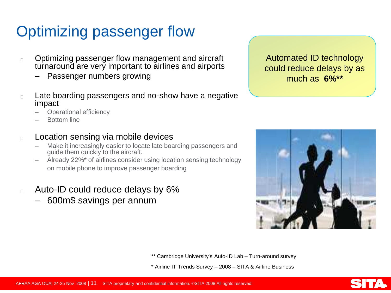## Optimizing passenger flow

- Optimizing passenger flow management and aircraft  $\Box$ turnaround are very important to airlines and airports
	- Passenger numbers growing
- Late boarding passengers and no-show have a negative  $\Box$ impact
	- Operational efficiency
	- Bottom line
- Location sensing via mobile devices  $\Box$ 
	- Make it increasingly easier to locate late boarding passengers and guide them quickly to the aircraft.
	- Already 22%\* of airlines consider using location sensing technology on mobile phone to improve passenger boarding
- Auto-ID could reduce delays by 6%  $\Box$ 
	- 600m\$ savings per annum

Automated ID technology could reduce delays by as much as **6%\*\***



\*\* Cambridge University's Auto-ID Lab - Turn-around survey

\* Airline IT Trends Survey – 2008 – SITA & Airline Business

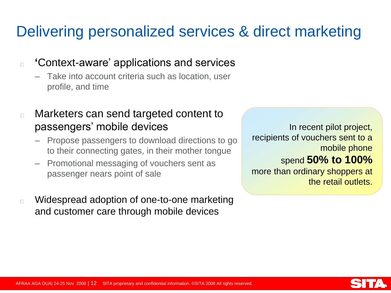### Delivering personalized services & direct marketing

- **"**Context-aware' applications and services  $\Box$ 
	- Take into account criteria such as location, user profile, and time
- Marketers can send targeted content to  $\Box$ passengers' mobile devices
	- Propose passengers to download directions to go to their connecting gates, in their mother tongue
	- Promotional messaging of vouchers sent as passenger nears point of sale
- Widespread adoption of one-to-one marketing  $\Box$ and customer care through mobile devices

In recent pilot project, recipients of vouchers sent to a mobile phone spend **50% to 100%** more than ordinary shoppers at the retail outlets.

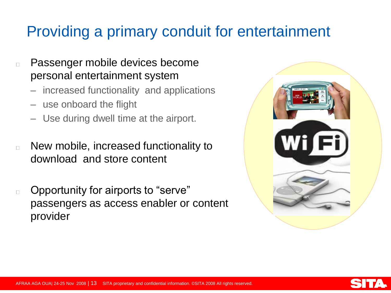### Providing a primary conduit for entertainment

- Passenger mobile devices become  $\Box$ personal entertainment system
	- increased functionality and applications
	- use onboard the flight
	- Use during dwell time at the airport.
- New mobile, increased functionality to  $\Box$ download and store content
- Opportunity for airports to "serve"  $\Box$ passengers as access enabler or content provider



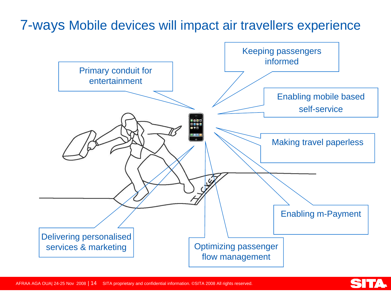#### 7-ways Mobile devices will impact air travellers experience

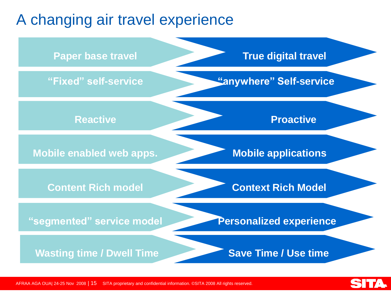### A changing air travel experience